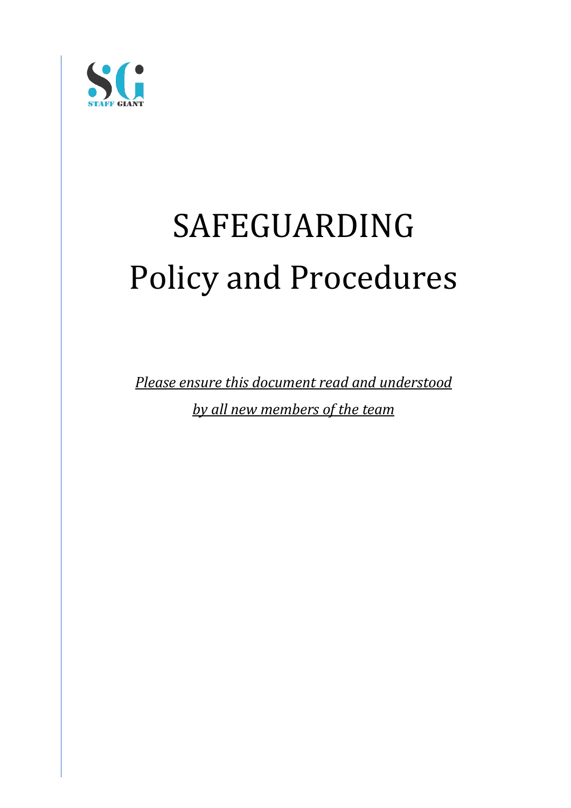

# SAFEGUARDING Policy and Procedures

**Please ensure this document read and understood** 

*by all new members of the team*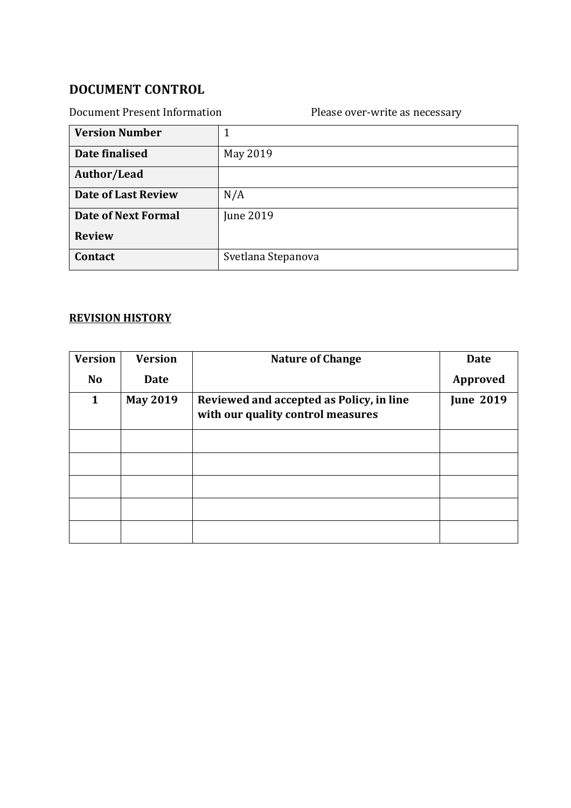# **DOCUMENT CONTROL**

| <b>Document Present Information</b> | Please over-write as necessary |
|-------------------------------------|--------------------------------|
| <b>Version Number</b>               | 1                              |
| Date finalised                      | May 2019                       |
| Author/Lead                         |                                |
| <b>Date of Last Review</b>          | N/A                            |
| <b>Date of Next Formal</b>          | <b>June 2019</b>               |
| <b>Review</b>                       |                                |
| Contact                             | Svetlana Stepanova             |

# **REVISION HISTORY**

| <b>Version</b> | <b>Version</b>  | <b>Nature of Change</b>                                                       | <b>Date</b>      |
|----------------|-----------------|-------------------------------------------------------------------------------|------------------|
| <b>No</b>      | <b>Date</b>     |                                                                               | Approved         |
| $\mathbf{1}$   | <b>May 2019</b> | Reviewed and accepted as Policy, in line<br>with our quality control measures | <b>June 2019</b> |
|                |                 |                                                                               |                  |
|                |                 |                                                                               |                  |
|                |                 |                                                                               |                  |
|                |                 |                                                                               |                  |
|                |                 |                                                                               |                  |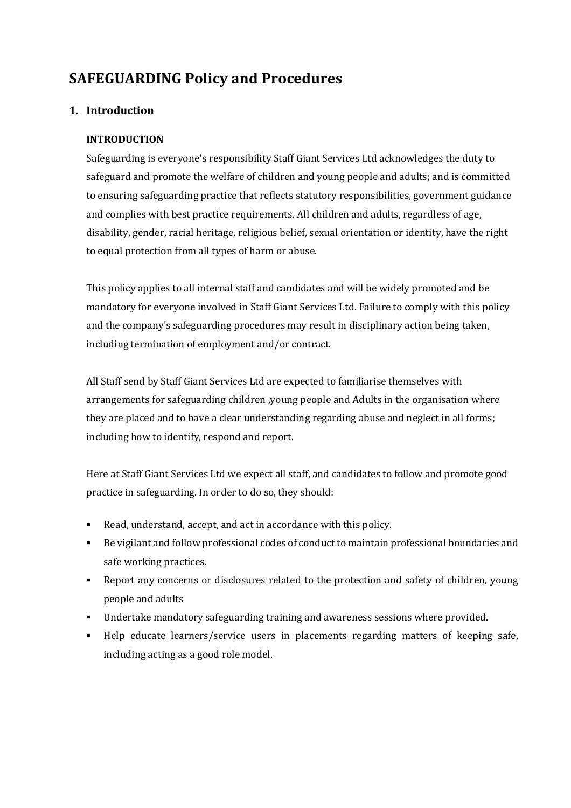# **SAFEGUARDING Policy and Procedures**

#### **1. Introduction**

#### **INTRODUCTION**

Safeguarding is everyone's responsibility Staff Giant Services Ltd acknowledges the duty to safeguard and promote the welfare of children and young people and adults; and is committed to ensuring safeguarding practice that reflects statutory responsibilities, government guidance and complies with best practice requirements. All children and adults, regardless of age, disability, gender, racial heritage, religious belief, sexual orientation or identity, have the right to equal protection from all types of harm or abuse.

This policy applies to all internal staff and candidates and will be widely promoted and be mandatory for everyone involved in Staff Giant Services Ltd. Failure to comply with this policy and the company's safeguarding procedures may result in disciplinary action being taken, including termination of employment and/or contract.

All Staff send by Staff Giant Services Ltd are expected to familiarise themselves with arrangements for safeguarding children , young people and Adults in the organisation where they are placed and to have a clear understanding regarding abuse and neglect in all forms; including how to identify, respond and report.

Here at Staff Giant Services Ltd we expect all staff, and candidates to follow and promote good practice in safeguarding. In order to do so, they should:

- Read, understand, accept, and act in accordance with this policy.
- Be vigilant and follow professional codes of conduct to maintain professional boundaries and safe working practices.
- Report any concerns or disclosures related to the protection and safety of children, young people and adults
- **•** Undertake mandatory safeguarding training and awareness sessions where provided.
- Help educate learners/service users in placements regarding matters of keeping safe, including acting as a good role model.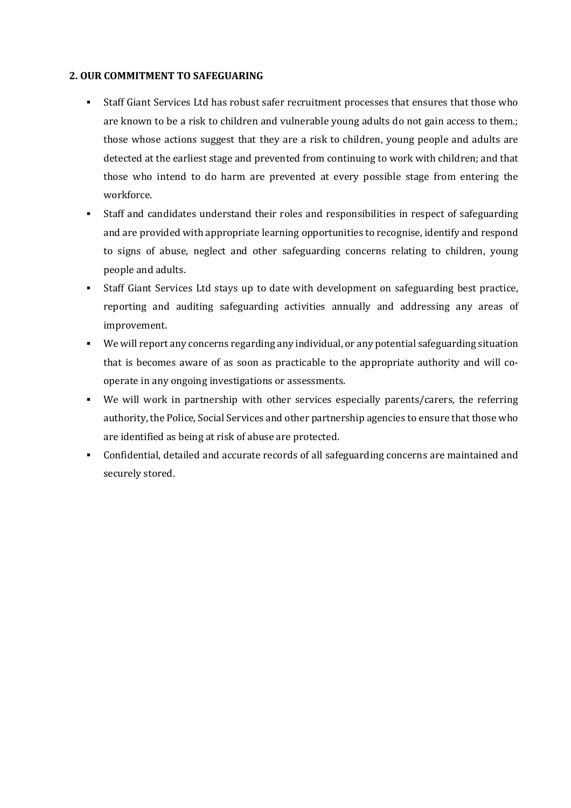#### **2. OUR COMMITMENT TO SAFEGUARING**

- Staff Giant Services Ltd has robust safer recruitment processes that ensures that those who are known to be a risk to children and vulnerable young adults do not gain access to them.; those whose actions suggest that they are a risk to children, young people and adults are detected at the earliest stage and prevented from continuing to work with children; and that those who intend to do harm are prevented at every possible stage from entering the workforce.
- Staff and candidates understand their roles and responsibilities in respect of safeguarding and are provided with appropriate learning opportunities to recognise, identify and respond to signs of abuse, neglect and other safeguarding concerns relating to children, young people and adults.
- Staff Giant Services Ltd stays up to date with development on safeguarding best practice, reporting and auditing safeguarding activities annually and addressing any areas of improvement.
- We will report any concerns regarding any individual, or any potential safeguarding situation that is becomes aware of as soon as practicable to the appropriate authority and will cooperate in any ongoing investigations or assessments.
- We will work in partnership with other services especially parents/carers, the referring authority, the Police, Social Services and other partnership agencies to ensure that those who are identified as being at risk of abuse are protected.
- Confidential, detailed and accurate records of all safeguarding concerns are maintained and securely stored.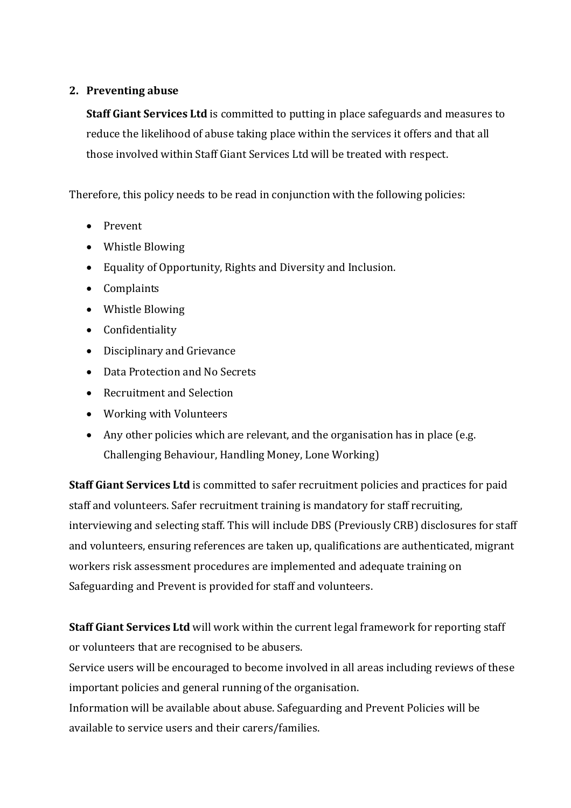#### **2. Preventing abuse**

**Staff Giant Services Ltd** is committed to putting in place safeguards and measures to reduce the likelihood of abuse taking place within the services it offers and that all those involved within Staff Giant Services Ltd will be treated with respect.

Therefore, this policy needs to be read in conjunction with the following policies:

- Prevent
- Whistle Blowing
- Equality of Opportunity, Rights and Diversity and Inclusion.
- Complaints
- Whistle Blowing
- Confidentiality
- Disciplinary and Grievance
- Data Protection and No Secrets
- Recruitment and Selection
- Working with Volunteers
- Any other policies which are relevant, and the organisation has in place (e.g. Challenging Behaviour, Handling Money, Lone Working)

**Staff Giant Services Ltd** is committed to safer recruitment policies and practices for paid staff and volunteers. Safer recruitment training is mandatory for staff recruiting, interviewing and selecting staff. This will include DBS (Previously CRB) disclosures for staff and volunteers, ensuring references are taken up, qualifications are authenticated, migrant workers risk assessment procedures are implemented and adequate training on Safeguarding and Prevent is provided for staff and volunteers.

**Staff Giant Services Ltd** will work within the current legal framework for reporting staff or volunteers that are recognised to be abusers.

Service users will be encouraged to become involved in all areas including reviews of these important policies and general running of the organisation.

Information will be available about abuse. Safeguarding and Prevent Policies will be available to service users and their carers/families.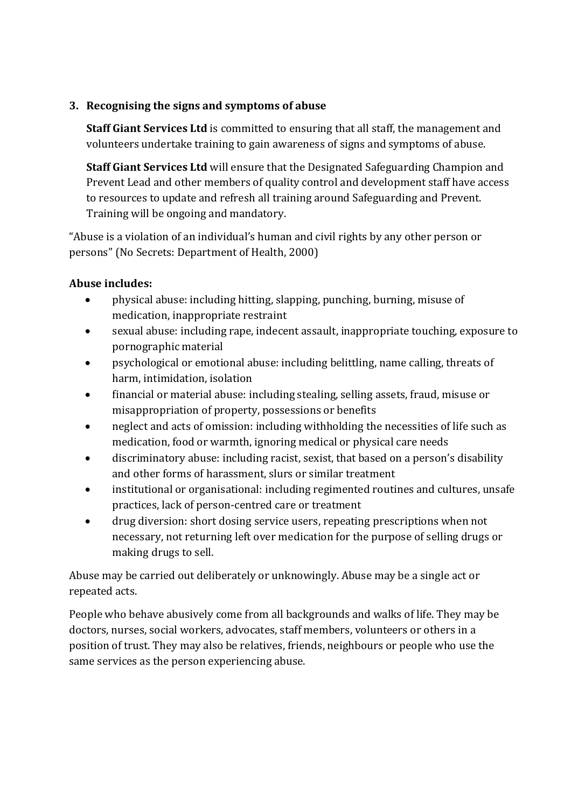#### **3.** Recognising the signs and symptoms of abuse

**Staff Giant Services Ltd** is committed to ensuring that all staff, the management and volunteers undertake training to gain awareness of signs and symptoms of abuse.

**Staff Giant Services Ltd** will ensure that the Designated Safeguarding Champion and Prevent Lead and other members of quality control and development staff have access to resources to update and refresh all training around Safeguarding and Prevent. Training will be ongoing and mandatory.

"Abuse is a violation of an individual's human and civil rights by any other person or persons" (No Secrets: Department of Health, 2000)

#### Abuse includes:

- physical abuse: including hitting, slapping, punching, burning, misuse of medication, inappropriate restraint
- sexual abuse: including rape, indecent assault, inappropriate touching, exposure to pornographic material
- psychological or emotional abuse: including belittling, name calling, threats of harm, intimidation, isolation
- financial or material abuse: including stealing, selling assets, fraud, misuse or misappropriation of property, possessions or benefits
- neglect and acts of omission: including withholding the necessities of life such as medication, food or warmth, ignoring medical or physical care needs
- discriminatory abuse: including racist, sexist, that based on a person's disability and other forms of harassment, slurs or similar treatment
- institutional or organisational: including regimented routines and cultures, unsafe practices, lack of person-centred care or treatment
- drug diversion: short dosing service users, repeating prescriptions when not necessary, not returning left over medication for the purpose of selling drugs or making drugs to sell.

Abuse may be carried out deliberately or unknowingly. Abuse may be a single act or repeated acts.

People who behave abusively come from all backgrounds and walks of life. They may be doctors, nurses, social workers, advocates, staff members, volunteers or others in a position of trust. They may also be relatives, friends, neighbours or people who use the same services as the person experiencing abuse.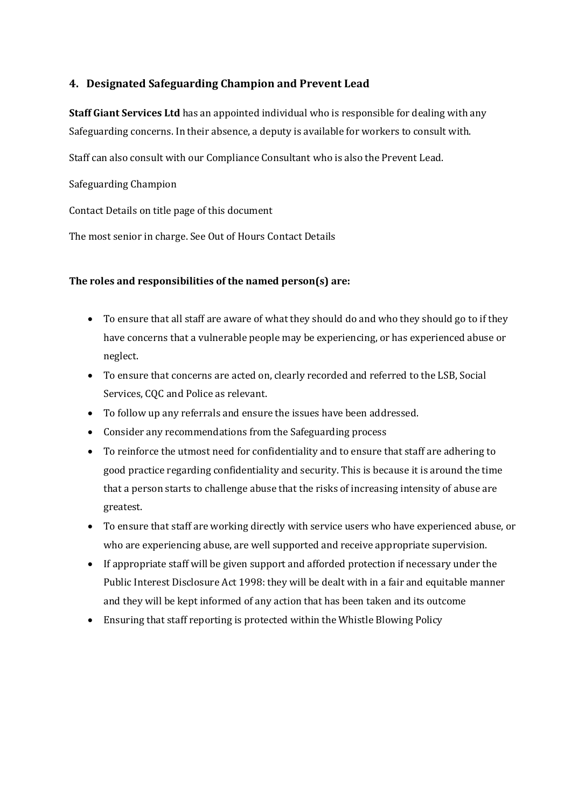#### **4. Designated Safeguarding Champion and Prevent Lead**

**Staff Giant Services Ltd** has an appointed individual who is responsible for dealing with any Safeguarding concerns. In their absence, a deputy is available for workers to consult with.

Staff can also consult with our Compliance Consultant who is also the Prevent Lead.

Safeguarding Champion

Contact Details on title page of this document

The most senior in charge. See Out of Hours Contact Details

#### The roles and responsibilities of the named person(s) are:

- To ensure that all staff are aware of what they should do and who they should go to if they have concerns that a vulnerable people may be experiencing, or has experienced abuse or neglect.
- To ensure that concerns are acted on, clearly recorded and referred to the LSB, Social Services, CQC and Police as relevant.
- To follow up any referrals and ensure the issues have been addressed.
- Consider any recommendations from the Safeguarding process
- To reinforce the utmost need for confidentiality and to ensure that staff are adhering to good practice regarding confidentiality and security. This is because it is around the time that a person starts to challenge abuse that the risks of increasing intensity of abuse are greatest.
- To ensure that staff are working directly with service users who have experienced abuse, or who are experiencing abuse, are well supported and receive appropriate supervision.
- If appropriate staff will be given support and afforded protection if necessary under the Public Interest Disclosure Act 1998: they will be dealt with in a fair and equitable manner and they will be kept informed of any action that has been taken and its outcome
- Ensuring that staff reporting is protected within the Whistle Blowing Policy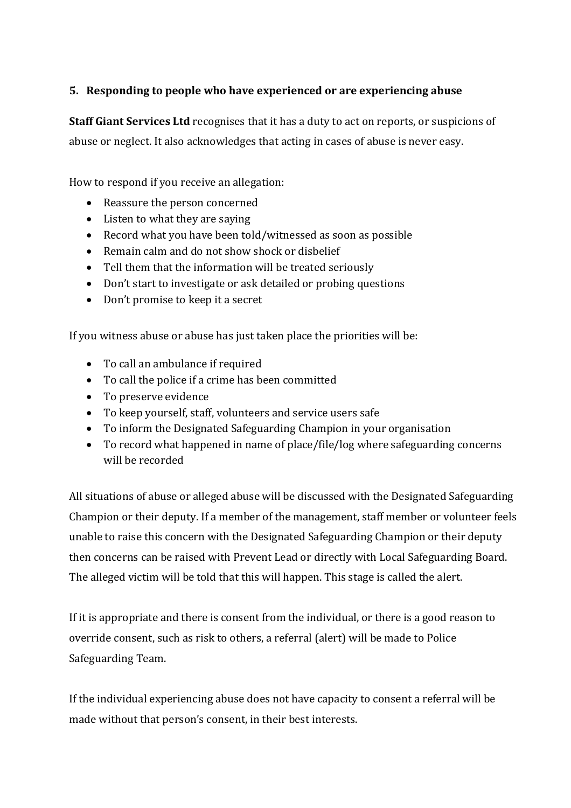#### **5.** Responding to people who have experienced or are experiencing abuse

**Staff Giant Services Ltd** recognises that it has a duty to act on reports, or suspicions of abuse or neglect. It also acknowledges that acting in cases of abuse is never easy.

How to respond if you receive an allegation:

- Reassure the person concerned
- $\bullet$  Listen to what they are saying
- Record what you have been told/witnessed as soon as possible
- Remain calm and do not show shock or disbelief
- Tell them that the information will be treated seriously
- Don't start to investigate or ask detailed or probing questions
- Don't promise to keep it a secret

If you witness abuse or abuse has just taken place the priorities will be:

- To call an ambulance if required
- To call the police if a crime has been committed
- To preserve evidence
- To keep yourself, staff, volunteers and service users safe
- To inform the Designated Safeguarding Champion in your organisation
- To record what happened in name of place/file/log where safeguarding concerns will be recorded

All situations of abuse or alleged abuse will be discussed with the Designated Safeguarding Champion or their deputy. If a member of the management, staff member or volunteer feels unable to raise this concern with the Designated Safeguarding Champion or their deputy then concerns can be raised with Prevent Lead or directly with Local Safeguarding Board. The alleged victim will be told that this will happen. This stage is called the alert.

If it is appropriate and there is consent from the individual, or there is a good reason to override consent, such as risk to others, a referral (alert) will be made to Police Safeguarding Team.

If the individual experiencing abuse does not have capacity to consent a referral will be made without that person's consent, in their best interests.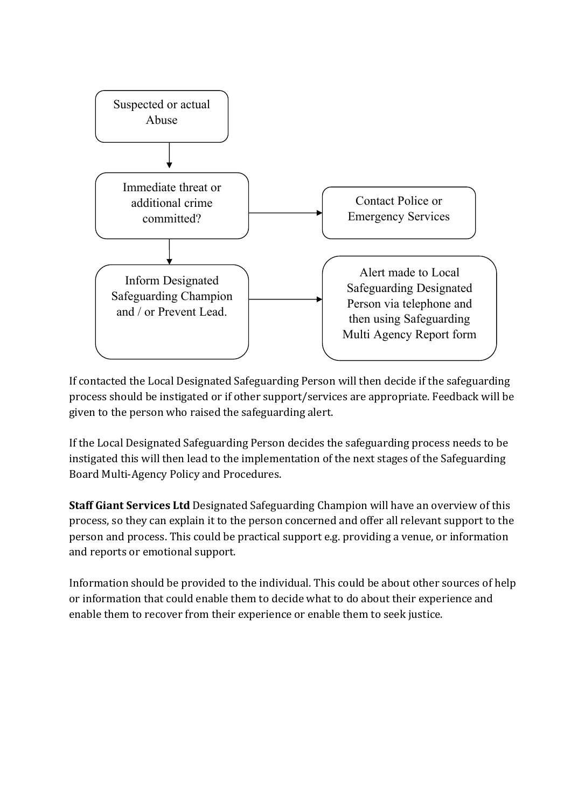

If contacted the Local Designated Safeguarding Person will then decide if the safeguarding process should be instigated or if other support/services are appropriate. Feedback will be given to the person who raised the safeguarding alert.

If the Local Designated Safeguarding Person decides the safeguarding process needs to be instigated this will then lead to the implementation of the next stages of the Safeguarding Board Multi-Agency Policy and Procedures.

**Staff Giant Services Ltd** Designated Safeguarding Champion will have an overview of this process, so they can explain it to the person concerned and offer all relevant support to the person and process. This could be practical support e.g. providing a venue, or information and reports or emotional support.

Information should be provided to the individual. This could be about other sources of help or information that could enable them to decide what to do about their experience and enable them to recover from their experience or enable them to seek justice.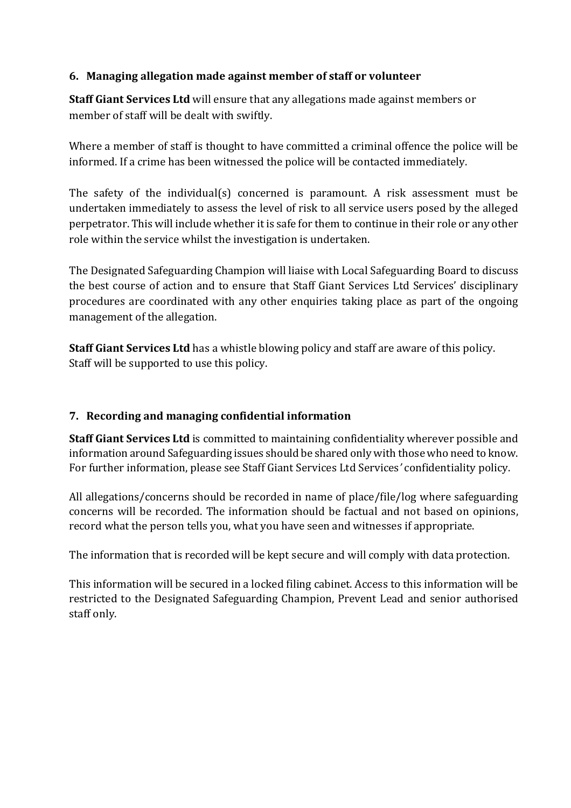#### **6. Managing allegation made against member of staff or volunteer**

**Staff Giant Services Ltd** will ensure that any allegations made against members or member of staff will be dealt with swiftly.

Where a member of staff is thought to have committed a criminal offence the police will be informed. If a crime has been witnessed the police will be contacted immediately.

The safety of the individual(s) concerned is paramount. A risk assessment must be undertaken immediately to assess the level of risk to all service users posed by the alleged perpetrator. This will include whether it is safe for them to continue in their role or any other role within the service whilst the investigation is undertaken.

The Designated Safeguarding Champion will liaise with Local Safeguarding Board to discuss the best course of action and to ensure that Staff Giant Services Ltd Services' disciplinary procedures are coordinated with any other enquiries taking place as part of the ongoing management of the allegation.

**Staff Giant Services Ltd** has a whistle blowing policy and staff are aware of this policy. Staff will be supported to use this policy.

# **7. Recording and managing confidential information**

**Staff Giant Services Ltd** is committed to maintaining confidentiality wherever possible and information around Safeguarding issues should be shared only with those who need to know. For further information, please see Staff Giant Services Ltd Services' confidentiality policy.

All allegations/concerns should be recorded in name of place/file/log where safeguarding concerns will be recorded. The information should be factual and not based on opinions, record what the person tells you, what you have seen and witnesses if appropriate.

The information that is recorded will be kept secure and will comply with data protection.

This information will be secured in a locked filing cabinet. Access to this information will be restricted to the Designated Safeguarding Champion, Prevent Lead and senior authorised staff only.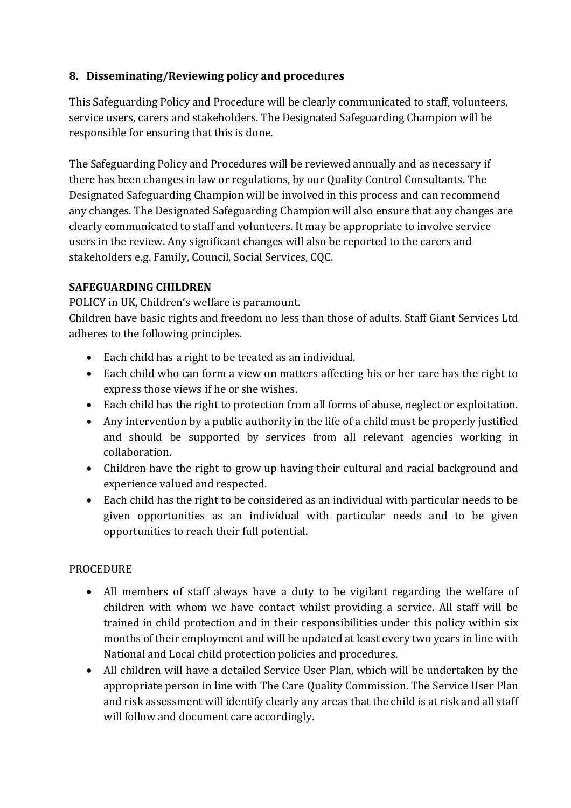### **8.** Disseminating/Reviewing policy and procedures

This Safeguarding Policy and Procedure will be clearly communicated to staff, volunteers, service users, carers and stakeholders. The Designated Safeguarding Champion will be responsible for ensuring that this is done.

The Safeguarding Policy and Procedures will be reviewed annually and as necessary if there has been changes in law or regulations, by our Quality Control Consultants. The Designated Safeguarding Champion will be involved in this process and can recommend any changes. The Designated Safeguarding Champion will also ensure that any changes are clearly communicated to staff and volunteers. It may be appropriate to involve service users in the review. Any significant changes will also be reported to the carers and stakeholders e.g. Family, Council, Social Services, CQC.

#### **SAFEGUARDING CHILDREN**

POLICY in UK, Children's welfare is paramount.

Children have basic rights and freedom no less than those of adults. Staff Giant Services Ltd adheres to the following principles.

- Each child has a right to be treated as an individual.
- Each child who can form a view on matters affecting his or her care has the right to express those views if he or she wishes.
- Each child has the right to protection from all forms of abuse, neglect or exploitation.
- Any intervention by a public authority in the life of a child must be properly justified and should be supported by services from all relevant agencies working in collaboration.
- Children have the right to grow up having their cultural and racial background and experience valued and respected.
- Each child has the right to be considered as an individual with particular needs to be given opportunities as an individual with particular needs and to be given opportunities to reach their full potential.

#### **PROCEDURE**

- All members of staff always have a duty to be vigilant regarding the welfare of children with whom we have contact whilst providing a service. All staff will be trained in child protection and in their responsibilities under this policy within six months of their employment and will be updated at least every two years in line with National and Local child protection policies and procedures.
- All children will have a detailed Service User Plan, which will be undertaken by the appropriate person in line with The Care Quality Commission. The Service User Plan and risk assessment will identify clearly any areas that the child is at risk and all staff will follow and document care accordingly.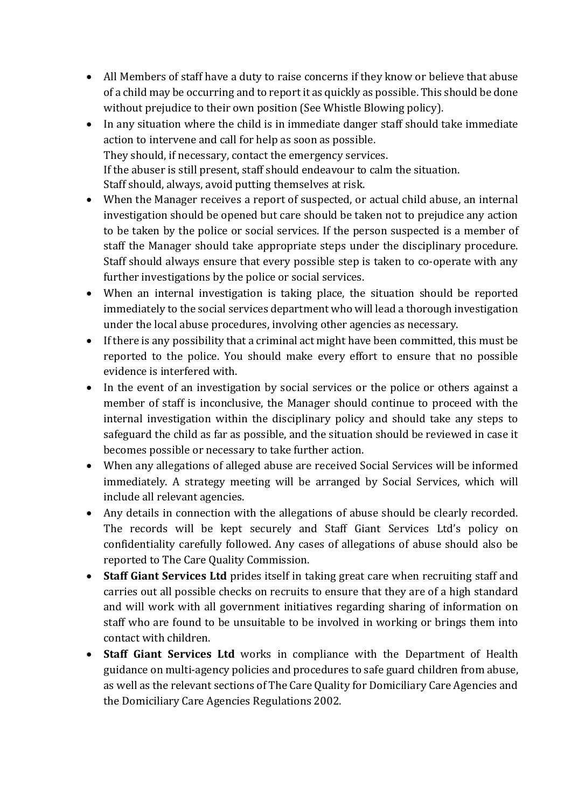- All Members of staff have a duty to raise concerns if they know or believe that abuse of a child may be occurring and to report it as quickly as possible. This should be done without prejudice to their own position (See Whistle Blowing policy).
- In any situation where the child is in immediate danger staff should take immediate action to intervene and call for help as soon as possible. They should, if necessary, contact the emergency services. If the abuser is still present, staff should endeavour to calm the situation. Staff should, always, avoid putting themselves at risk.
- When the Manager receives a report of suspected, or actual child abuse, an internal investigation should be opened but care should be taken not to prejudice any action to be taken by the police or social services. If the person suspected is a member of staff the Manager should take appropriate steps under the disciplinary procedure. Staff should always ensure that every possible step is taken to co-operate with any further investigations by the police or social services.
- When an internal investigation is taking place, the situation should be reported immediately to the social services department who will lead a thorough investigation under the local abuse procedures, involving other agencies as necessary.
- If there is any possibility that a criminal act might have been committed, this must be reported to the police. You should make every effort to ensure that no possible evidence is interfered with.
- In the event of an investigation by social services or the police or others against a member of staff is inconclusive, the Manager should continue to proceed with the internal investigation within the disciplinary policy and should take any steps to safeguard the child as far as possible, and the situation should be reviewed in case it becomes possible or necessary to take further action.
- When any allegations of alleged abuse are received Social Services will be informed immediately. A strategy meeting will be arranged by Social Services, which will include all relevant agencies.
- Any details in connection with the allegations of abuse should be clearly recorded. The records will be kept securely and Staff Giant Services Ltd's policy on confidentiality carefully followed. Any cases of allegations of abuse should also be reported to The Care Quality Commission.
- **Staff Giant Services Ltd** prides itself in taking great care when recruiting staff and carries out all possible checks on recruits to ensure that they are of a high standard and will work with all government initiatives regarding sharing of information on staff who are found to be unsuitable to be involved in working or brings them into contact with children.
- Staff Giant Services Ltd works in compliance with the Department of Health guidance on multi-agency policies and procedures to safe guard children from abuse, as well as the relevant sections of The Care Quality for Domiciliary Care Agencies and the Domiciliary Care Agencies Regulations 2002.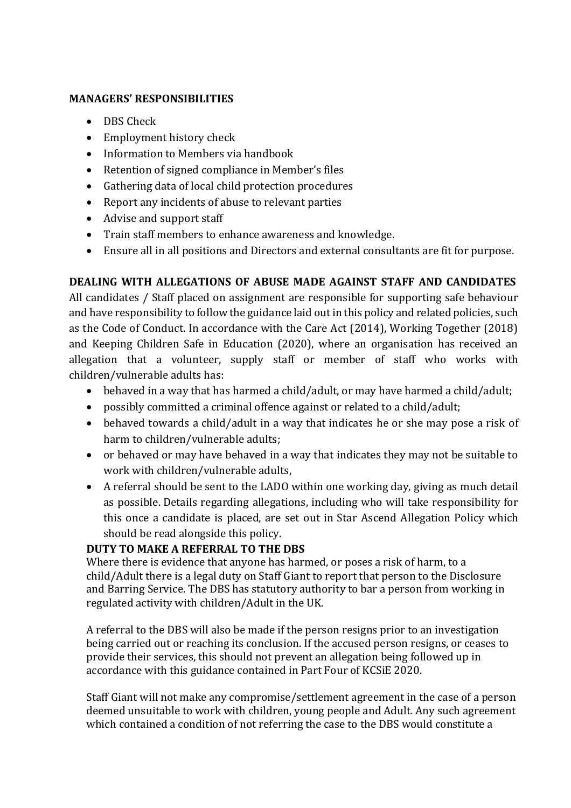#### **MANAGERS' RESPONSIBILITIES**

- DBS Check
- Employment history check
- Information to Members via handbook
- Retention of signed compliance in Member's files
- Gathering data of local child protection procedures
- Report any incidents of abuse to relevant parties
- Advise and support staff
- Train staff members to enhance awareness and knowledge.
- Ensure all in all positions and Directors and external consultants are fit for purpose.

# **DEALING WITH ALLEGATIONS OF ABUSE MADE AGAINST STAFF AND CANDIDATES**

All candidates / Staff placed on assignment are responsible for supporting safe behaviour and have responsibility to follow the guidance laid out in this policy and related policies, such as the Code of Conduct. In accordance with the Care Act (2014), Working Together (2018) and Keeping Children Safe in Education (2020), where an organisation has received an allegation that a volunteer, supply staff or member of staff who works with children/vulnerable adults has:

- behaved in a way that has harmed a child/adult, or may have harmed a child/adult;
- possibly committed a criminal offence against or related to a child/adult;
- behaved towards a child/adult in a way that indicates he or she may pose a risk of harm to children/vulnerable adults;
- or behaved or may have behaved in a way that indicates they may not be suitable to work with children/vulnerable adults,
- A referral should be sent to the LADO within one working day, giving as much detail as possible. Details regarding allegations, including who will take responsibility for this once a candidate is placed, are set out in Star Ascend Allegation Policy which should be read alongside this policy.

#### **DUTY TO MAKE A REFERRAL TO THE DBS**

Where there is evidence that anyone has harmed, or poses a risk of harm, to a child/Adult there is a legal duty on Staff Giant to report that person to the Disclosure and Barring Service. The DBS has statutory authority to bar a person from working in regulated activity with children/Adult in the UK.

A referral to the DBS will also be made if the person resigns prior to an investigation being carried out or reaching its conclusion. If the accused person resigns, or ceases to provide their services, this should not prevent an allegation being followed up in accordance with this guidance contained in Part Four of KCSiE 2020.

Staff Giant will not make any compromise/settlement agreement in the case of a person deemed unsuitable to work with children, young people and Adult. Any such agreement which contained a condition of not referring the case to the DBS would constitute a